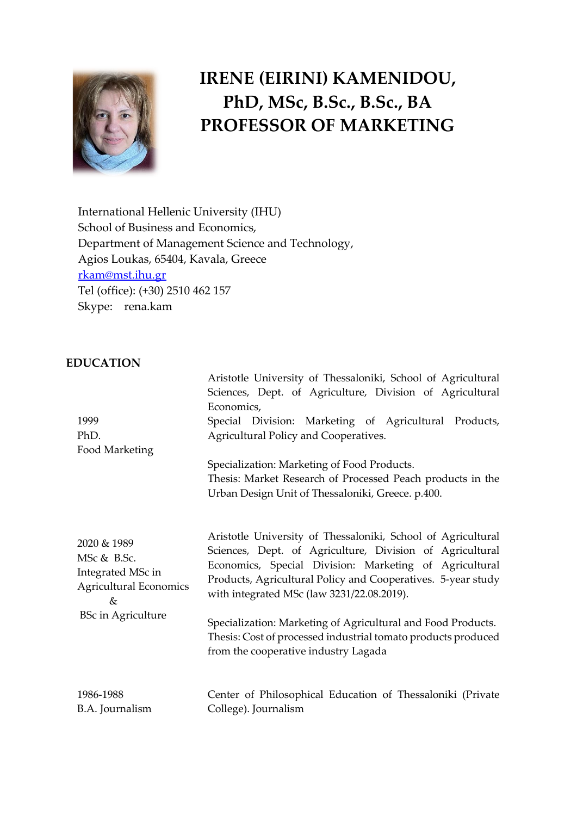

# **IRENE (EIRINI) KAMENIDOU, PhD, MSc, B.Sc., B.Sc., BA PROFESSOR OF MARKETING**

Aristotle University of Thessaloniki, School of Agricultural

International Hellenic University (IHU) School of Business and Economics, Department of Management Science and Technology, Agios Loukas, 65404, Kavala, Greece [rkam@mst.ihu.gr](mailto:rkam@mst.ihu.gr)  Tel (office): (+30) 2510 462 157 Skype: rena.kam

# **EDUCATION**

| 1999<br>PhD.<br>Food Marketing                                                                                        | Sciences, Dept. of Agriculture, Division of Agricultural<br>Economics,<br>Special Division: Marketing of Agricultural Products,<br>Agricultural Policy and Cooperatives.<br>Specialization: Marketing of Food Products.<br>Thesis: Market Research of Processed Peach products in the<br>Urban Design Unit of Thessaloniki, Greece. p.400.                                                                                                                                |
|-----------------------------------------------------------------------------------------------------------------------|---------------------------------------------------------------------------------------------------------------------------------------------------------------------------------------------------------------------------------------------------------------------------------------------------------------------------------------------------------------------------------------------------------------------------------------------------------------------------|
| 2020 & 1989<br>MSc & B.Sc.<br>Integrated MSc in<br><b>Agricultural Economics</b><br>$\&$<br><b>BSc in Agriculture</b> | Aristotle University of Thessaloniki, School of Agricultural<br>Sciences, Dept. of Agriculture, Division of Agricultural<br>Economics, Special Division: Marketing of Agricultural<br>Products, Agricultural Policy and Cooperatives. 5-year study<br>with integrated MSc (law 3231/22.08.2019).<br>Specialization: Marketing of Agricultural and Food Products.<br>Thesis: Cost of processed industrial tomato products produced<br>from the cooperative industry Lagada |
| 1986-1988<br>B.A. Journalism                                                                                          | Center of Philosophical Education of Thessaloniki (Private<br>College). Journalism                                                                                                                                                                                                                                                                                                                                                                                        |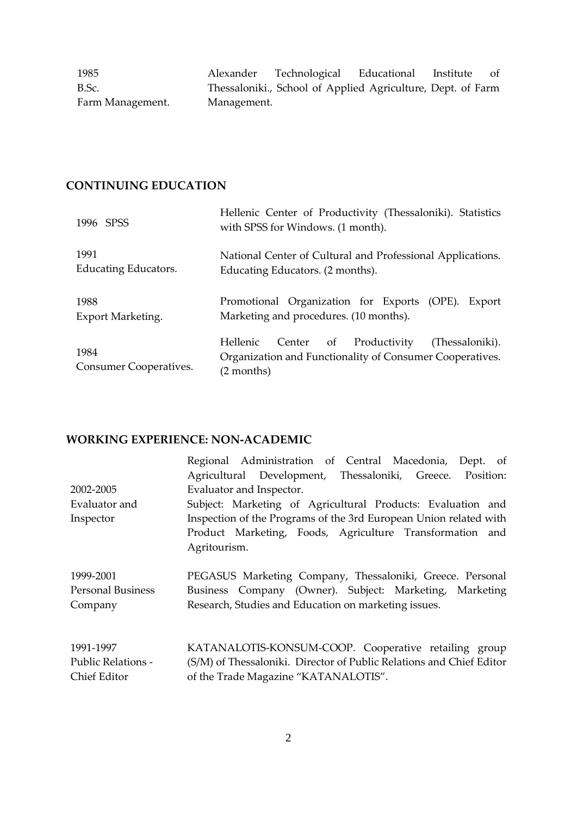1985 B.Sc. Farm Management. Alexander Technological Educational Institute of Thessaloniki., School of Applied Agriculture, Dept. of Farm Management.

# **CONTINUING EDUCATION**

| 1996 SPSS                      | Hellenic Center of Productivity (Thessaloniki). Statistics<br>with SPSS for Windows. (1 month).                                 |
|--------------------------------|---------------------------------------------------------------------------------------------------------------------------------|
| 1991                           | National Center of Cultural and Professional Applications.                                                                      |
| Educating Educators.           | Educating Educators. (2 months).                                                                                                |
| 1988                           | Promotional Organization for Exports (OPE). Export                                                                              |
| Export Marketing.              | Marketing and procedures. (10 months).                                                                                          |
| 1984<br>Consumer Cooperatives. | Hellenic<br>Center of Productivity<br>(Thessaloniki).<br>Organization and Functionality of Consumer Cooperatives.<br>(2 months) |

#### **WORKING EXPERIENCE: NON-ACADEMIC**

|                           | Regional Administration of Central Macedonia, Dept. of<br>Agricultural Development, Thessaloniki, Greece. Position: |
|---------------------------|---------------------------------------------------------------------------------------------------------------------|
| 2002-2005                 | Evaluator and Inspector.                                                                                            |
| Evaluator and             | Subject: Marketing of Agricultural Products: Evaluation and                                                         |
| Inspector                 | Inspection of the Programs of the 3rd European Union related with                                                   |
|                           | Product Marketing, Foods, Agriculture Transformation and<br>Agritourism.                                            |
| 1999-2001                 | PEGASUS Marketing Company, Thessaloniki, Greece. Personal                                                           |
| <b>Personal Business</b>  | Business Company (Owner). Subject: Marketing, Marketing                                                             |
| Company                   | Research, Studies and Education on marketing issues.                                                                |
| 1991-1997                 | KATANALOTIS-KONSUM-COOP. Cooperative retailing group                                                                |
| <b>Public Relations -</b> | (S/M) of Thessaloniki. Director of Public Relations and Chief Editor                                                |
| Chief Editor              | of the Trade Magazine "KATANALOTIS".                                                                                |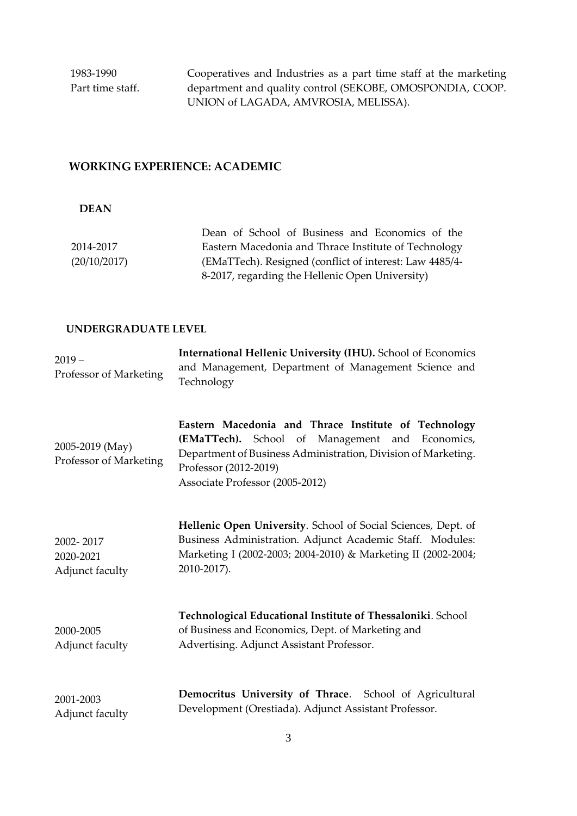1983-1990 Part time staff. Cooperatives and Industries as a part time staff at the marketing department and quality control (SEKOBE, OMOSPONDIA, COOP. UNION of LAGADA, AMVROSIA, MELISSA).

# **WORKING EXPERIENCE: ACADEMIC**

#### **DEAN**

|              | Dean of School of Business and Economics of the         |
|--------------|---------------------------------------------------------|
| 2014-2017    | Eastern Macedonia and Thrace Institute of Technology    |
| (20/10/2017) | (EMaTTech). Resigned (conflict of interest: Law 4485/4- |
|              | 8-2017, regarding the Hellenic Open University)         |

#### **UNDERGRADUATE LEVEL**

| $2019 -$<br>Professor of Marketing        | International Hellenic University (IHU). School of Economics<br>and Management, Department of Management Science and<br>Technology                                                                                                   |
|-------------------------------------------|--------------------------------------------------------------------------------------------------------------------------------------------------------------------------------------------------------------------------------------|
| 2005-2019 (May)<br>Professor of Marketing | Eastern Macedonia and Thrace Institute of Technology<br>(EMaTTech). School of Management and Economics,<br>Department of Business Administration, Division of Marketing.<br>Professor (2012-2019)<br>Associate Professor (2005-2012) |
| 2002-2017<br>2020-2021<br>Adjunct faculty | Hellenic Open University. School of Social Sciences, Dept. of<br>Business Administration. Adjunct Academic Staff. Modules:<br>Marketing I (2002-2003; 2004-2010) & Marketing II (2002-2004;<br>2010-2017).                           |
| 2000-2005<br>Adjunct faculty              | Technological Educational Institute of Thessaloniki. School<br>of Business and Economics, Dept. of Marketing and<br>Advertising. Adjunct Assistant Professor.                                                                        |
| 2001-2003<br>Adjunct faculty              | Democritus University of Thrace. School of Agricultural<br>Development (Orestiada). Adjunct Assistant Professor.                                                                                                                     |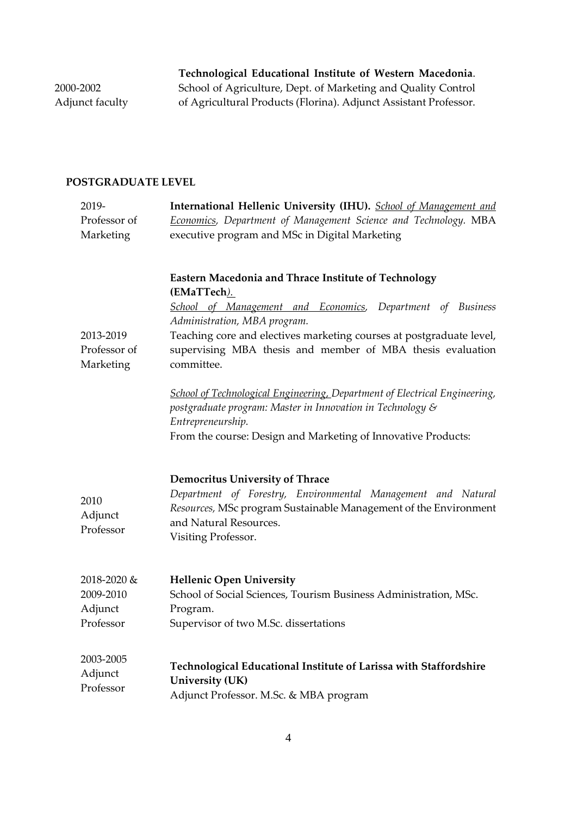**Technological Educational Institute of Western Macedonia**. School of Agriculture, Dept. of Marketing and Quality Control of Agricultural Products (Florina). Adjunct Assistant Professor.

2000-2002 Adjunct faculty

# **POSTGRADUATE LEVEL**

| 2019-                                  | International Hellenic University (IHU). School of Management and                                                                                                                                                                                                                                                            |
|----------------------------------------|------------------------------------------------------------------------------------------------------------------------------------------------------------------------------------------------------------------------------------------------------------------------------------------------------------------------------|
| Professor of                           | Economics, Department of Management Science and Technology. MBA                                                                                                                                                                                                                                                              |
| Marketing                              | executive program and MSc in Digital Marketing                                                                                                                                                                                                                                                                               |
|                                        |                                                                                                                                                                                                                                                                                                                              |
| 2013-2019<br>Professor of<br>Marketing | <b>Eastern Macedonia and Thrace Institute of Technology</b><br>(EMaTTech).<br>School of Management and Economics, Department of Business<br>Administration, MBA program.<br>Teaching core and electives marketing courses at postgraduate level,<br>supervising MBA thesis and member of MBA thesis evaluation<br>committee. |
|                                        | School of Technological Engineering, Department of Electrical Engineering,<br>postgraduate program: Master in Innovation in Technology &<br>Entrepreneurship.                                                                                                                                                                |
|                                        | From the course: Design and Marketing of Innovative Products:                                                                                                                                                                                                                                                                |
| 2010<br>Adjunct<br>Professor           | <b>Democritus University of Thrace</b><br>Department of Forestry, Environmental Management and Natural<br>Resources, MSc program Sustainable Management of the Environment<br>and Natural Resources.<br>Visiting Professor.                                                                                                  |
| 2018-2020 &                            | <b>Hellenic Open University</b>                                                                                                                                                                                                                                                                                              |
| 2009-2010                              | School of Social Sciences, Tourism Business Administration, MSc.                                                                                                                                                                                                                                                             |
| Adjunct                                | Program.                                                                                                                                                                                                                                                                                                                     |
| Professor                              | Supervisor of two M.Sc. dissertations                                                                                                                                                                                                                                                                                        |
| 2003-2005<br>Adjunct<br>Professor      | Technological Educational Institute of Larissa with Staffordshire<br><b>University (UK)</b><br>Adjunct Professor. M.Sc. & MBA program                                                                                                                                                                                        |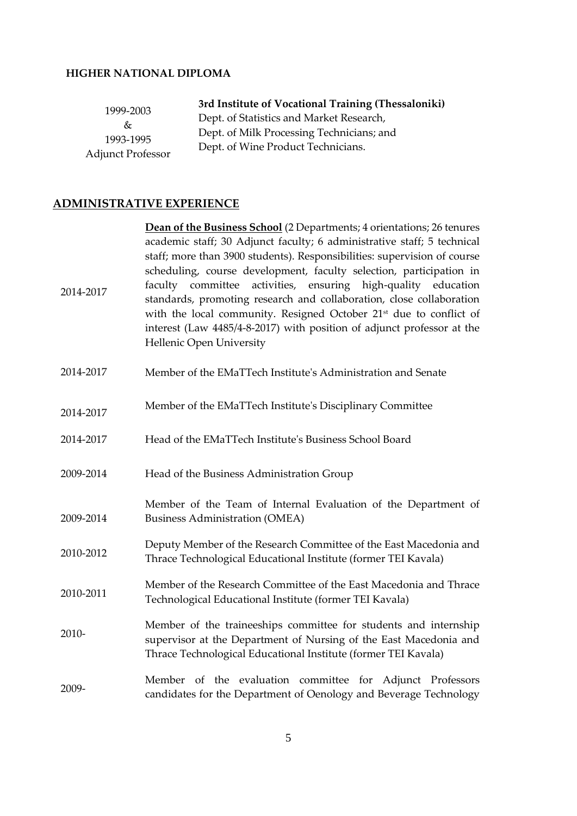# **HIGHER NATIONAL DIPLOMA**

| 1999-2003<br>&τ          | 3rd Institute of Vocational Training (Thessaloniki) |
|--------------------------|-----------------------------------------------------|
|                          | Dept. of Statistics and Market Research,            |
| 1993-1995                | Dept. of Milk Processing Technicians; and           |
| <b>Adjunct Professor</b> | Dept. of Wine Product Technicians.                  |

# **ADMINISTRATIVE EXPERIENCE**

|           | Dean of the Business School (2 Departments; 4 orientations; 26 tenures                                                                                                                                                                                                                                                                                                                                                                                                                                                                                      |
|-----------|-------------------------------------------------------------------------------------------------------------------------------------------------------------------------------------------------------------------------------------------------------------------------------------------------------------------------------------------------------------------------------------------------------------------------------------------------------------------------------------------------------------------------------------------------------------|
| 2014-2017 | academic staff; 30 Adjunct faculty; 6 administrative staff; 5 technical<br>staff; more than 3900 students). Responsibilities: supervision of course<br>scheduling, course development, faculty selection, participation in<br>faculty committee activities, ensuring high-quality education<br>standards, promoting research and collaboration, close collaboration<br>with the local community. Resigned October 21 <sup>st</sup> due to conflict of<br>interest (Law 4485/4-8-2017) with position of adjunct professor at the<br>Hellenic Open University |
| 2014-2017 | Member of the EMaTTech Institute's Administration and Senate                                                                                                                                                                                                                                                                                                                                                                                                                                                                                                |
| 2014-2017 | Member of the EMaTTech Institute's Disciplinary Committee                                                                                                                                                                                                                                                                                                                                                                                                                                                                                                   |
| 2014-2017 | Head of the EMaTTech Institute's Business School Board                                                                                                                                                                                                                                                                                                                                                                                                                                                                                                      |
| 2009-2014 | Head of the Business Administration Group                                                                                                                                                                                                                                                                                                                                                                                                                                                                                                                   |
| 2009-2014 | Member of the Team of Internal Evaluation of the Department of<br><b>Business Administration (OMEA)</b>                                                                                                                                                                                                                                                                                                                                                                                                                                                     |
| 2010-2012 | Deputy Member of the Research Committee of the East Macedonia and<br>Thrace Technological Educational Institute (former TEI Kavala)                                                                                                                                                                                                                                                                                                                                                                                                                         |
| 2010-2011 | Member of the Research Committee of the East Macedonia and Thrace<br>Technological Educational Institute (former TEI Kavala)                                                                                                                                                                                                                                                                                                                                                                                                                                |
| 2010-     | Member of the traineeships committee for students and internship<br>supervisor at the Department of Nursing of the East Macedonia and<br>Thrace Technological Educational Institute (former TEI Kavala)                                                                                                                                                                                                                                                                                                                                                     |
| 2009-     | Member of the evaluation committee for Adjunct Professors<br>candidates for the Department of Oenology and Beverage Technology                                                                                                                                                                                                                                                                                                                                                                                                                              |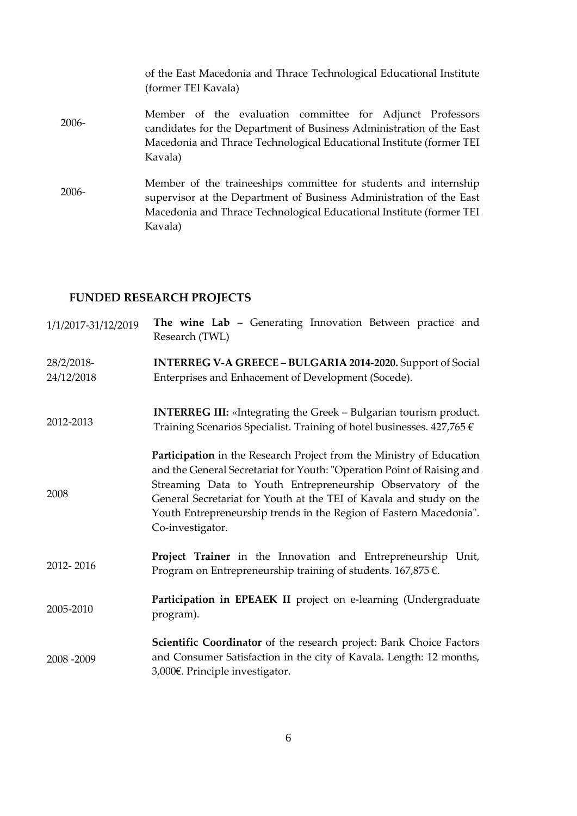|          | of the East Macedonia and Thrace Technological Educational Institute<br>(former TEI Kavala)                                                                                                                                |
|----------|----------------------------------------------------------------------------------------------------------------------------------------------------------------------------------------------------------------------------|
| $2006 -$ | Member of the evaluation committee for Adjunct Professors<br>candidates for the Department of Business Administration of the East<br>Macedonia and Thrace Technological Educational Institute (former TEI<br>Kavala)       |
| 2006-    | Member of the traineeships committee for students and internship<br>supervisor at the Department of Business Administration of the East<br>Macedonia and Thrace Technological Educational Institute (former TEI<br>Kavala) |

# **FUNDED RESEARCH PROJECTS**

| 1/1/2017-31/12/2019      | The wine Lab - Generating Innovation Between practice and<br>Research (TWL)                                                                                                                                                                                                                                                                                                    |
|--------------------------|--------------------------------------------------------------------------------------------------------------------------------------------------------------------------------------------------------------------------------------------------------------------------------------------------------------------------------------------------------------------------------|
| 28/2/2018-<br>24/12/2018 | INTERREG V-A GREECE - BULGARIA 2014-2020. Support of Social<br>Enterprises and Enhacement of Development (Socede).                                                                                                                                                                                                                                                             |
| 2012-2013                | <b>INTERREG III:</b> «Integrating the Greek – Bulgarian tourism product.<br>Training Scenarios Specialist. Training of hotel businesses. $427,765 \in$                                                                                                                                                                                                                         |
| 2008                     | Participation in the Research Project from the Ministry of Education<br>and the General Secretariat for Youth: "Operation Point of Raising and<br>Streaming Data to Youth Entrepreneurship Observatory of the<br>General Secretariat for Youth at the TEI of Kavala and study on the<br>Youth Entrepreneurship trends in the Region of Eastern Macedonia".<br>Co-investigator. |
| 2012-2016                | Project Trainer in the Innovation and Entrepreneurship Unit,<br>Program on Entrepreneurship training of students. $167,875 \in$ .                                                                                                                                                                                                                                              |
| 2005-2010                | Participation in EPEAEK II project on e-learning (Undergraduate<br>program).                                                                                                                                                                                                                                                                                                   |
| 2008-2009                | Scientific Coordinator of the research project: Bank Choice Factors<br>and Consumer Satisfaction in the city of Kavala. Length: 12 months,<br>3,000€. Principle investigator.                                                                                                                                                                                                  |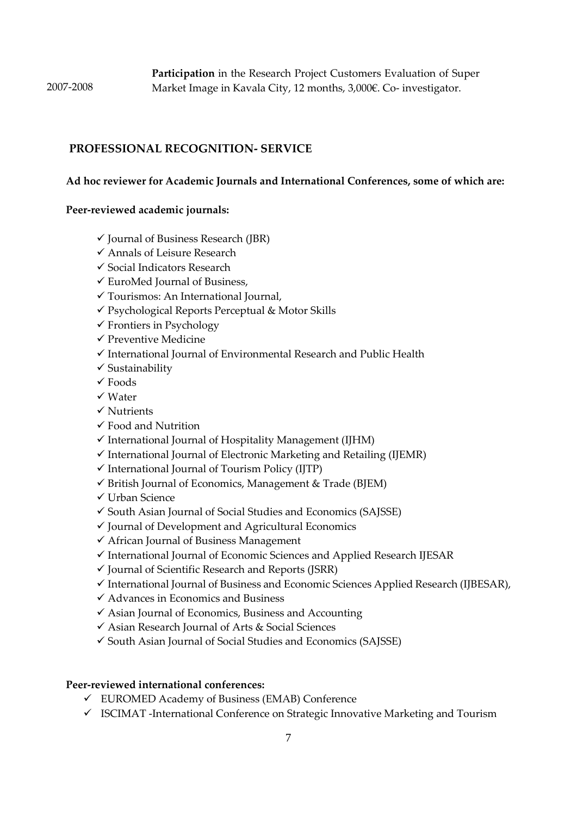# **PROFESSIONAL RECOGNITION- SERVICE**

#### **Ad hoc reviewer for Academic Journals and International Conferences, some of which are:**

#### **Peer-reviewed academic journals:**

- $\checkmark$  Journal of Business Research (JBR)
- ✓ Annals of Leisure Research
- ✓ Social Indicators Research
- ✓ EuroMed Journal of Business,
- ✓ Tourismos: An International Journal,
- ✓ Psychological Reports Perceptual & Motor Skills
- $\checkmark$  Frontiers in Psychology
- ✓ Preventive Medicine
- ✓ International Journal of Environmental Research and Public Health
- ✓ Sustainability
- $\checkmark$  Foods
- ✓ Water
- ✓ Nutrients
- ✓ Food and Nutrition
- $\checkmark$  International Journal of Hospitality Management (IJHM)
- $\checkmark$  International Journal of Electronic Marketing and Retailing (IJEMR)
- ✓ International Journal of Tourism Policy (IJTP)
- ✓ British Journal of Economics, Management & Trade (BJEM)
- ✓ Urban Science
- ✓ South Asian Journal of Social Studies and Economics (SAJSSE)
- $\checkmark$  Journal of Development and Agricultural Economics
- ✓ African Journal of Business Management
- ✓ International Journal of Economic Sciences and Applied Research IJESAR
- $\checkmark$  Journal of Scientific Research and Reports (JSRR)
- ✓ International Journal of Business and Economic Sciences Applied Research (IJBESAR),
- ✓ Advances in Economics and Business
- $\checkmark$  Asian Journal of Economics, Business and Accounting
- ✓ Asian Research Journal of Arts & Social Sciences
- ✓ South Asian Journal of Social Studies and Economics (SAJSSE)

#### **Peer-reviewed international conferences:**

- ✓ EUROMED Academy of Business (ΕΜΑΒ) Conference
- ✓ ISCIMAT -International Conference on Strategic Innovative Marketing and Tourism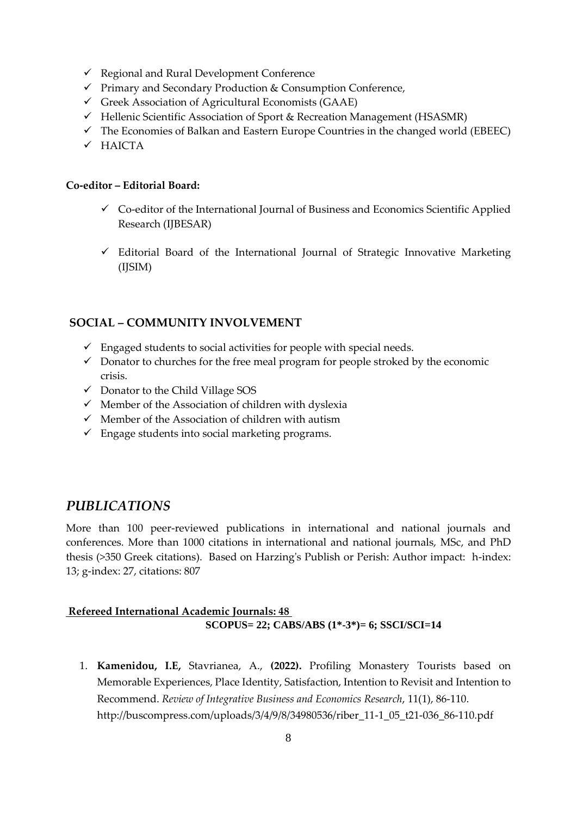- ✓ Regional and Rural Development Conference
- ✓ Primary and Secondary Production & Consumption Conference,
- $\checkmark$  Greek Association of Agricultural Economists (GAAE)
- ✓ Hellenic Scientific Association of Sport & Recreation Management (HSASMR)
- $\checkmark$  The Economies of Balkan and Eastern Europe Countries in the changed world (EBEEC)
- ✓ HAICTA

#### **Co-editor – Editorial Board:**

- ✓ Co-editor of the International Journal of Business and Economics Scientific Applied Research (IJBESAR)
- $\checkmark$  Editorial Board of the International Journal of Strategic Innovative Marketing (IJSIM)

# **SOCIAL – COMMUNITY INVOLVEMENT**

- $\checkmark$  Engaged students to social activities for people with special needs.
- $\checkmark$  Donator to churches for the free meal program for people stroked by the economic crisis.
- ✓ Donator to the Child Village SOS
- $\checkmark$  Member of the Association of children with dyslexia
- $\checkmark$  Member of the Association of children with autism
- $\checkmark$  Engage students into social marketing programs.

# *PUBLICATIONS*

More than 100 peer-reviewed publications in international and national journals and conferences. More than 1000 citations in international and national journals, MSc, and PhD thesis (>350 Greek citations). Based on Harzing's Publish or Perish: Author impact: h-index: 13; g-index: 27, citations: 807

#### **Refereed International Academic Journals: 48 SCOPUS= 22; CABS/ABS (1\*-3\*)= 6; SSCI/SCI=14**

1. **Kamenidou, I.E,** Stavrianea, A., **(2022).** Profiling Monastery Tourists based on Memorable Experiences, Place Identity, Satisfaction, Intention to Revisit and Intention to Recommend. *Review of Integrative Business and Economics Research*, 11(1), 86-110. http://buscompress.com/uploads/3/4/9/8/34980536/riber\_11-1\_05\_t21-036\_86-110.pdf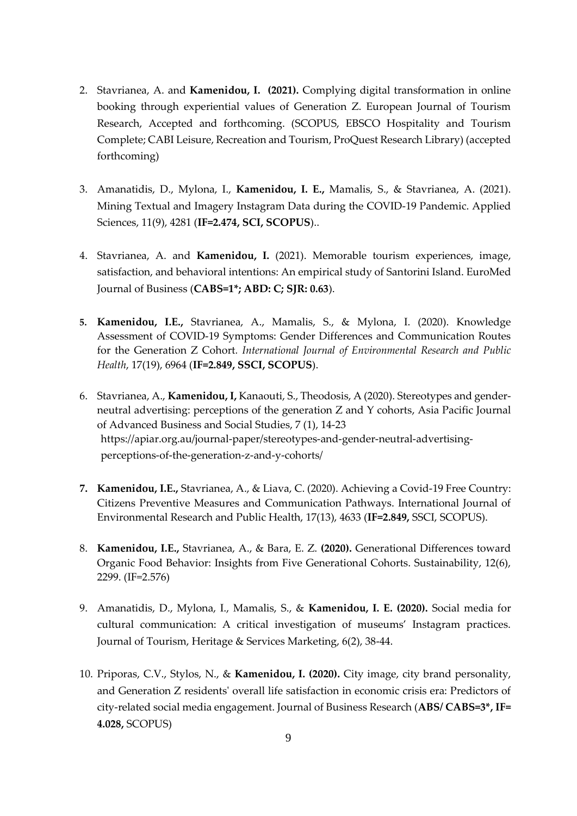- 2. Stavrianea, A. and **Kamenidou, I. (2021).** Complying digital transformation in online booking through experiential values of Generation Z. European Journal of Tourism Research, Accepted and forthcoming. (SCOPUS, EBSCO Hospitality and Tourism Complete; CABI Leisure, Recreation and Tourism, ProQuest Research Library) (accepted forthcoming)
- 3. Amanatidis, D., Mylona, I., **Kamenidou, I. E.,** Mamalis, S., & Stavrianea, A. (2021). Mining Textual and Imagery Instagram Data during the COVID-19 Pandemic. Applied Sciences, 11(9), 4281 (**IF=2.474, SCI, SCOPUS**)..
- 4. Stavrianea, A. and **Kamenidou, I.** (2021). Memorable tourism experiences, image, satisfaction, and behavioral intentions: An empirical study of Santorini Island. EuroMed Journal of Business (**CABS=1\*; ABD: C; SJR: 0.63**).
- **5. Kamenidou, I.E.,** Stavrianea, A., Mamalis, S., & Mylona, I. (2020). Knowledge Assessment of COVID-19 Symptoms: Gender Differences and Communication Routes for the Generation Z Cohort*. International Journal of Environmental Research and Public Health*, 17(19), 6964 (**IF=2.849, SSCI, SCOPUS**).
- 6. Stavrianea, A., **Kamenidou, I,** Kanaouti, S., Theodosis, A (2020). Stereotypes and genderneutral advertising: perceptions of the generation Z and Y cohorts, Asia Pacific Journal of Advanced Business and Social Studies, 7 (1), 14-23 https://apiar.org.au/journal-paper/stereotypes-and-gender-neutral-advertisingperceptions-of-the-generation-z-and-y-cohorts/
- **7. Kamenidou, I.E.,** Stavrianea, A., & Liava, C. (2020). Achieving a Covid-19 Free Country: Citizens Preventive Measures and Communication Pathways. International Journal of Environmental Research and Public Health, 17(13), 4633 (**IF=2.849,** SSCI, SCOPUS).
- 8. **Kamenidou, I.E.,** Stavrianea, A., & Bara, E. Z. **(2020).** Generational Differences toward Organic Food Behavior: Insights from Five Generational Cohorts. Sustainability, 12(6), 2299. (IF=2.576)
- 9. Amanatidis, D., Mylona, I., Mamalis, S., & **Kamenidou, I. E. (2020).** Social media for cultural communication: A critical investigation of museums' Instagram practices. Journal of Tourism, Heritage & Services Marketing, 6(2), 38-44.
- 10. Priporas, C.V., Stylos, N., & **Kamenidou, I. (2020).** City image, city brand personality, and Generation Z residents' overall life satisfaction in economic crisis era: Predictors of city-related social media engagement. Journal of Business Research (**ABS/ CABS=3\*, IF= 4.028,** SCOPUS)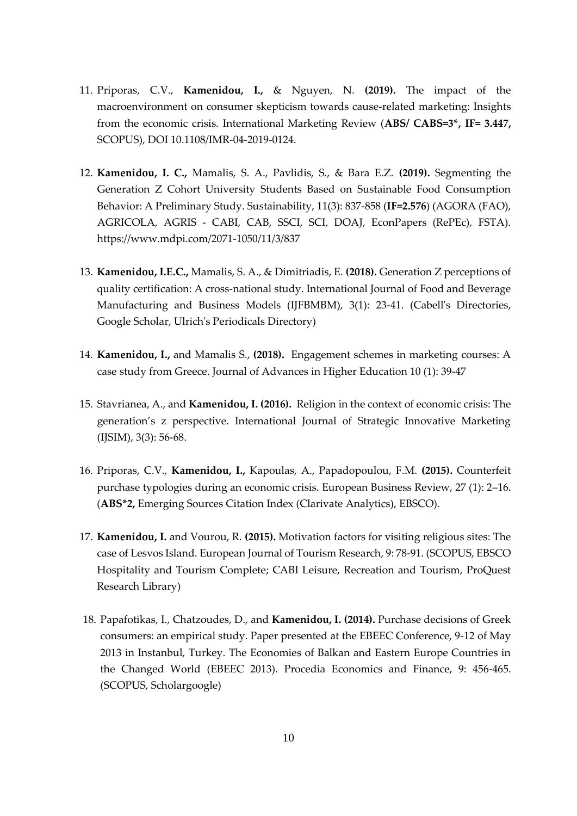- 11. Priporas, C.V., **Kamenidou, I.,** & Nguyen, N. **(2019).** The impact of the macroenvironment on consumer skepticism towards cause-related marketing: Insights from the economic crisis. International Marketing Review (**ABS/ CABS=3\*, IF= 3.447,**  SCOPUS), DOI 10.1108/IMR-04-2019-0124.
- 12. **Kamenidou, I. C.,** Mamalis, S. A., Pavlidis, S., & Bara E.Z. **(2019).** Segmenting the Generation Z Cohort University Students Based on Sustainable Food Consumption Behavior: A Preliminary Study. Sustainability, 11(3): 837-858 (**IF=2.576**) (AGORA (FAO), AGRICOLA, AGRIS - CABI, CAB, SSCI, SCI, DOAJ, EconPapers (RePEc), FSTA). https://www.mdpi.com/2071-1050/11/3/837
- 13. **Kamenidou, I.E.C.,** Mamalis, S. A., & Dimitriadis, E. **(2018).** Generation Z perceptions of quality certification: A cross-national study. International Journal of Food and Beverage Manufacturing and Business Models (IJFBMBM), 3(1): 23-41. (Cabell's Directories, Google Scholar, Ulrich's Periodicals Directory)
- 14. **Kamenidou, Ι.,** and Mamalis S., **(2018).** Engagement schemes in marketing courses: A case study from Greece. Journal of Advances in Higher Education 10 (1): 39-47
- 15. Stavrianea, A., and **Kamenidou, I. (2016).** Religion in the context of economic crisis: The generation's z perspective. International Journal of Strategic Innovative Marketing (IJSIM), 3(3): 56-68.
- 16. Priporas, C.V., **Kamenidou, I.,** Kapoulas, A., Papadopoulou, F.M. **(2015).** Counterfeit purchase typologies during an economic crisis. European Business Review, 27 (1): 2–16. (**ABS\*2,** Εmerging Sources Citation Index (Clarivate Analytics), EBSCO).
- 17. **Kamenidou, I.** and Vourou, R. **(2015).** Motivation factors for visiting religious sites: The case of Lesvos Island. European Journal of Tourism Research, 9: 78-91. (SCOPUS, EBSCO Hospitality and Tourism Complete; CABI Leisure, Recreation and Tourism, ProQuest Research Library)
- 18. Papafotikas, I., Chatzoudes, D., and **Kamenidou, I. (2014).** Purchase decisions of Greek consumers: an empirical study. Paper presented at the EBEEC Conference, 9-12 of May 2013 in Instanbul, Turkey. The Economies of Balkan and Eastern Europe Countries in the Changed World (EBEEC 2013). Procedia Economics and Finance, 9: 456-465. (SCOPUS, Scholargoogle)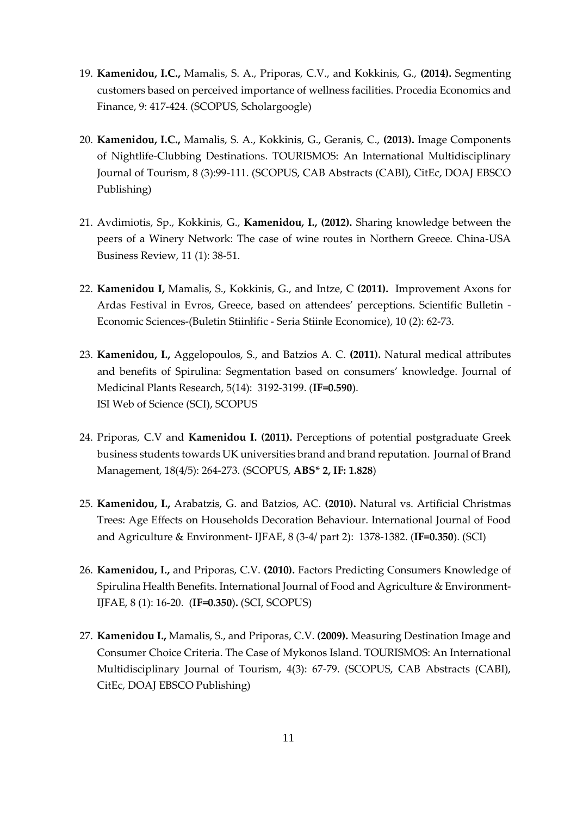- 19. **Kamenidou, I.C.,** Mamalis, S. A., Priporas, C.V., and Kokkinis, G., **(2014).** Segmenting customers based on perceived importance of wellness facilities. Procedia Economics and Finance, 9: 417-424. (SCOPUS, Scholargoogle)
- 20. **Kamenidou, I.C.,** Mamalis, S. A., Kokkinis, G., Geranis, C., **(2013).** Image Components of Nightlife-Clubbing Destinations. TOURISMOS: An International Multidisciplinary Journal of Tourism, 8 (3):99-111. (SCOPUS, CAB Abstracts (CABI), CitEc, DOAJ EBSCO Publishing)
- 21. Avdimiotis, Sp., Kokkinis, G., **Kamenidou, I., (2012).** Sharing knowledge between the peers of a Winery Network: The case of wine routes in Northern Greece. China-USA Business Review, 11 (1): 38-51.
- 22. **Kamenidou I,** Mamalis, S., Kokkinis, G., and Intze, C **(2011).** Improvement Axons for Ardas Festival in Evros, Greece, based on attendees' perceptions. Scientific Bulletin - Economic Sciences-(Buletin Stiinłific - Seria Stiinłe Economice), 10 (2): 62-73.
- 23. **Kamenidou, I.,** Aggelopoulos, S., and Batzios A. C. **(2011).** Natural medical attributes and benefits of Spirulina: Segmentation based on consumers' knowledge. Journal of Medicinal Plants Research, 5(14): 3192-3199. (**IF=0.590**). ISI Web of Science (SCI), SCOPUS
- 24. Priporas, C.V and **Kamenidou I. (2011).** Perceptions of potential postgraduate Greek business students towards UK universities brand and brand reputation. Journal of Brand Management, 18(4/5): 264-273. (SCOPUS, **ABS\* 2, IF: 1.828**)
- 25. **Kamenidou, I.,** Arabatzis, G. and Batzios, AC. **(2010).** Natural vs. Artificial Christmas Trees: Age Effects on Households Decoration Behaviour. International Journal of Food and Agriculture & Environment- ΙJFAE, 8 (3-4/ part 2): 1378-1382. (**IF=0.350**). (SCI)
- 26. **Kamenidou, I.,** and Priporas, C.V. **(2010).** Factors Predicting Consumers Knowledge of Spirulina Health Benefits. International Journal of Food and Agriculture & Environment-ΙJFAE, 8 (1): 16-20. (**IF=0.350**)**.** (SCI, SCOPUS)
- 27. **Kamenidou I.,** Mamalis, S., and Priporas, C.V. **(2009).** Measuring Destination Image and Consumer Choice Criteria. The Case of Mykonos Island. TOURISMOS: An International Multidisciplinary Journal of Tourism, 4(3): 67-79. (SCOPUS, CAB Abstracts (CABI), CitEc, DOAJ EBSCO Publishing)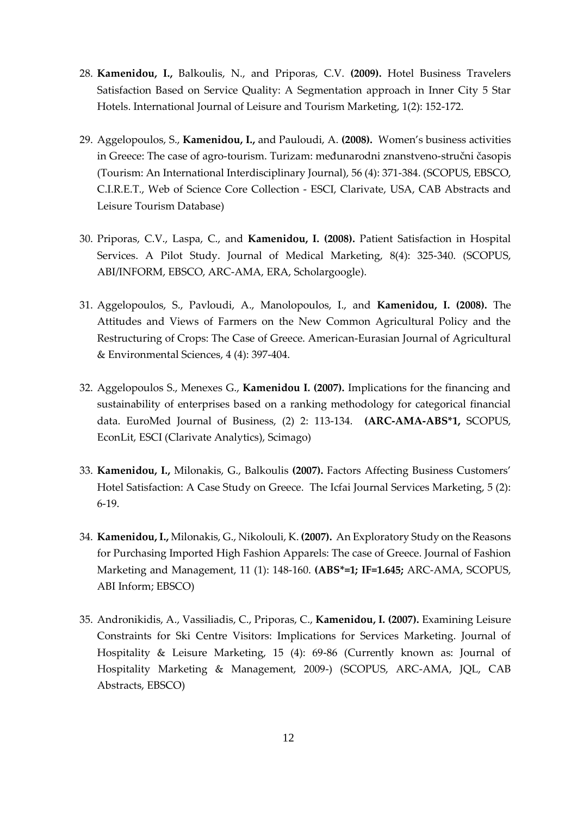- 28. **Kamenidou, I.,** Balkoulis, N., and Priporas, C.V. **(2009).** Hotel Business Travelers Satisfaction Based on Service Quality: A Segmentation approach in Inner City 5 Star Hotels. International Journal of Leisure and Tourism Marketing, 1(2): 152-172.
- 29. Aggelopoulos, S., **Kamenidou, I.,** and Pauloudi, A. **(2008).** Women's business activities in Greece: The case of agro-tourism. Turizam: međunarodni znanstveno-stručni časopis (Tourism: An International Interdisciplinary Journal), 56 (4): 371-384. (SCOPUS, EBSCO, C.I.R.E.T., Web of Science Core Collection - ESCI, Clarivate, USA, CAB Abstracts and Leisure Tourism Database)
- 30. Priporas, C.V., Laspa, C., and **Kamenidou, I. (2008).** Patient Satisfaction in Hospital Services. A Pilot Study. Journal of Medical Marketing, 8(4): 325-340. (SCOPUS, ABI/INFORM, EBSCO, ARC-AMA, ERA, Scholargoogle).
- 31. Aggelopoulos, S., Pavloudi, A., Manolopoulos, I., and **Kamenidou, I. (2008).** The Attitudes and Views of Farmers on the New Common Agricultural Policy and the Restructuring of Crops: The Case of Greece. American-Eurasian Journal of Agricultural & Environmental Sciences, 4 (4): 397-404.
- 32. Aggelopoulos S., Menexes G., **Kamenidou I. (2007).** Implications for the financing and sustainability of enterprises based on a ranking methodology for categorical financial data. EuroMed Journal of Business, (2) 2: 113-134. **(ARC-AMA-ABS\*1,** SCOPUS, EconLit, ESCI (Clarivate Analytics), Scimago)
- 33. **Kamenidou, I.,** Milonakis, G., Balkoulis **(2007).** Factors Affecting Business Customers' Hotel Satisfaction: A Case Study on Greece. The Icfai Journal Services Marketing, 5 (2): 6-19.
- 34. **Kamenidou, I.,** Milonakis, G., Νikolouli, K. **(2007).** An Exploratory Study on the Reasons for Purchasing Imported High Fashion Apparels: The case of Greece. Journal of Fashion Marketing and Management, 11 (1): 148-160. **(ABS\*=1; IF=1.645;** ARC-AMA, SCOPUS, ABI Inform; EBSCO)
- 35. Andronikidis, A., Vassiliadis, C., Priporas, C., **Kamenidou, I. (2007).** Examining Leisure Constraints for Ski Centre Visitors: Implications for Services Marketing. Journal of Hospitality & Leisure Marketing, 15 (4): 69-86 (Currently known as: Journal of Hospitality Marketing & Management, 2009-) (SCOPUS, ARC-AMA, JQL, CAB Abstracts, EBSCO)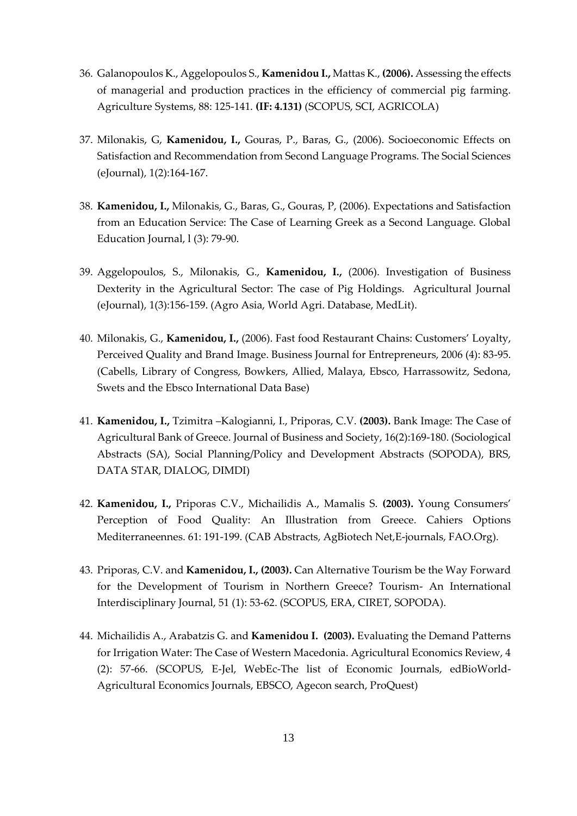- 36. Galanopoulos K., Aggelopoulos S., **Kamenidou I.,** Mattas K., **(2006).** Assessing the effects of managerial and production practices in the efficiency of commercial pig farming. Agriculture Systems, 88: 125-141. **(IF: 4.131)** (SCOPUS, SCI, AGRICOLA)
- 37. Milonakis, G, **Kamenidou, I.,** Gouras, P., Baras, G., (2006). Socioeconomic Effects on Satisfaction and Recommendation from Second Language Programs. The Social Sciences (eJournal), 1(2):164-167.
- 38. **Kamenidou, I.,** Milonakis, G., Baras, G., Gouras, P, (2006). Expectations and Satisfaction from an Education Service: The Case of Learning Greek as a Second Language. Global Education Journal, l (3): 79-90.
- 39. Aggelopoulos, S., Milonakis, G., **Kamenidou, I.,** (2006). Investigation of Business Dexterity in the Agricultural Sector: The case of Pig Holdings. Agricultural Journal (eJournal), 1(3):156-159. (Agro Asia, World Agri. Database, MedLit).
- 40. Milonakis, G., **Kamenidou, I.,** (2006). Fast food Restaurant Chains: Customers' Loyalty, Perceived Quality and Brand Image. Business Journal for Entrepreneurs, 2006 (4): 83-95. (Cabells, Library of Congress, Bowkers, Allied, Malaya, Ebsco, Harrassowitz, Sedona, Swets and the Ebsco International Data Base)
- 41. **Kamenidou, I.,** Tzimitra –Kalogianni, I., Priporas, C.V. **(2003).** Bank Image: The Case of Agricultural Bank of Greece. Journal of Business and Society, 16(2):169-180. (Sociological Abstracts (SA), Social Planning/Policy and Development Abstracts (SOPODA), BRS, DATA STAR, DIALOG, DIMDI)
- 42. **Kamenidou, I.,** Priporas C.V., Michailidis A., Mamalis S. **(2003).** Young Consumers' Perception of Food Quality: An Illustration from Greece. Cahiers Options Mediterraneennes. 61: 191-199. (CAB Abstracts, AgBiotech Net,E-journals, FAO.Org).
- 43. Priporas, C.V. and **Kamenidou, I., (2003).** Can Alternative Tourism be the Way Forward for the Development of Tourism in Northern Greece? Tourism- An International Interdisciplinary Journal, 51 (1): 53-62. (SCOPUS, ERA, CIRET, SOPODA).
- 44. Michailidis A., Arabatzis G. and **Kamenidou I. (2003).** Evaluating the Demand Patterns for Irrigation Water: The Case of Western Macedonia. Agricultural Economics Review, 4 (2): 57-66. (SCOPUS, E-Jel, WebEc-The list of Economic Journals, edBioWorld-Agricultural Economics Journals, EBSCO, Agecon search, ProQuest)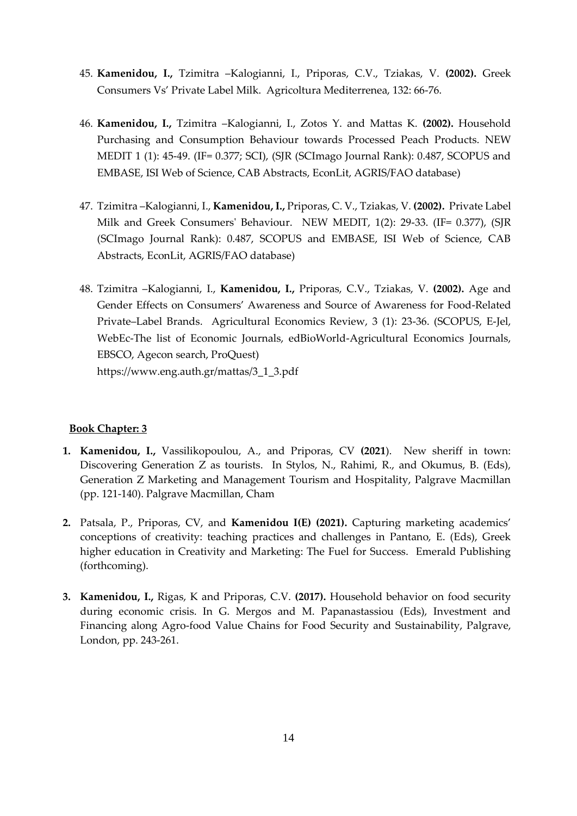- 45. **Kamenidou, I.,** Tzimitra –Kalogianni, I., Priporas, C.V., Tziakas, V. **(2002).** Greek Consumers Vs' Private Label Milk. Agricoltura Mediterrenea, 132: 66-76.
- 46. **Kamenidou, I.,** Tzimitra –Kalogianni, I., Zotos Y. and Mattas K. **(2002).** Household Purchasing and Consumption Behaviour towards Processed Peach Products. NEW MEDIT 1 (1): 45-49. (IF= 0.377; SCI), (SJR (SCImago Journal Rank): 0.487, SCOPUS and EMBASE, ISI Web of Science, CAB Abstracts, EconLit, AGRIS/FAO database)
- 47. Tzimitra –Kalogianni, I., **Kamenidou, I.,** Priporas, C. V., Tziakas, V. **(2002).** Private Label Milk and Greek Consumers' Behaviour. NEW MEDIT, 1(2): 29-33. (IF= 0.377), (SJR (SCImago Journal Rank): 0.487, SCOPUS and EMBASE, ISI Web of Science, CAB Abstracts, EconLit, AGRIS/FAO database)
- 48. Tzimitra –Kalogianni, I., **Kamenidou, I.,** Priporas, C.V., Tziakas, V. **(2002).** Age and Gender Effects on Consumers' Awareness and Source of Awareness for Food-Related Private–Label Brands. Agricultural Economics Review, 3 (1): 23-36. (SCOPUS, E-Jel, WebEc-The list of Economic Journals, edBioWorld-Agricultural Economics Journals, EBSCO, Agecon search, ProQuest) https://www.eng.auth.gr/mattas/3\_1\_3.pdf

#### **Book Chapter: 3**

- **1. Kamenidou, I.,** Vassilikopoulou, A., and Priporas, CV **(2021**). New sheriff in town: Discovering Generation Z as tourists. In Stylos, N., Rahimi, R., and Okumus, B. (Eds), Generation Z Marketing and Management Tourism and Hospitality, Palgrave Macmillan (pp. 121-140). Palgrave Macmillan, Cham
- **2.** Patsala, P., Priporas, CV, and **Kamenidou I(E) (2021).** Capturing marketing academics' conceptions of creativity: teaching practices and challenges in Pantano, E. (Eds), Greek higher education in Creativity and Marketing: The Fuel for Success. Emerald Publishing (forthcoming).
- **3. Kamenidou, I.,** Rigas, K and Priporas, C.V. **(2017).** Household behavior on food security during economic crisis. In G. Mergos and M. Papanastassiou (Eds), Investment and Financing along Agro-food Value Chains for Food Security and Sustainability, Palgrave, London, pp. 243-261.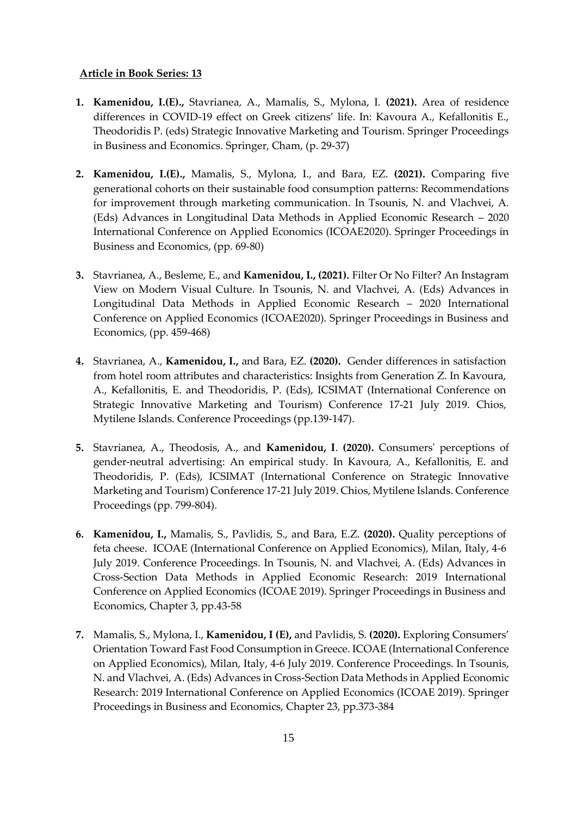#### **Article in Book Series: 13**

- **1. Kamenidou, I.(E).,** Stavrianea, A., Mamalis, S., Mylona, I. **(2021).** Area of residence differences in COVID-19 effect on Greek citizens' life. In: Kavoura A., Kefallonitis E., Theodoridis P. (eds) Strategic Innovative Marketing and Tourism. Springer Proceedings in Business and Economics. Springer, Cham, (p. 29-37)
- **2. Kamenidou, I.(E).,** Mamalis, S., Mylona, I., and Bara, EZ. **(2021).** Comparing five generational cohorts on their sustainable food consumption patterns: Recommendations for improvement through marketing communication. In Tsounis, N. and Vlachvei, A. (Eds) Advances in Longitudinal Data Methods in Applied Economic Research – 2020 International Conference on Applied Economics (ICOAE2020). Springer Proceedings in Business and Economics, (pp. 69-80)
- **3.** Stavrianea, A., Besleme, E., and **Kamenidou, I., (2021).** Filter Or No Filter? An Instagram View on Modern Visual Culture. In Tsounis, N. and Vlachvei, A. (Eds) Advances in Longitudinal Data Methods in Applied Economic Research – 2020 International Conference on Applied Economics (ICOAE2020). Springer Proceedings in Business and Economics, (pp. 459-468)
- **4.** Stavrianea, A., **Kamenidou, I.,** and Bara, EZ. **(2020).** Gender differences in satisfaction from hotel room attributes and characteristics: Insights from Generation Z. In Kavoura, A., Kefallonitis, E. and Theodoridis, P. (Eds), ICSIMAT (International Conference on Strategic Innovative Marketing and Tourism) Conference 17-21 July 2019. Chios, Mytilene Islands. Conference Proceedings (pp.139-147).
- **5.** Stavrianea, A., Theodosis, A., and **Kamenidou, I**. **(2020).** Consumers' perceptions of gender-neutral advertising: An empirical study. In Kavoura, A., Kefallonitis, E. and Theodoridis, P. (Eds), ICSIMAT (International Conference on Strategic Innovative Marketing and Tourism) Conference 17-21 July 2019. Chios, Mytilene Islands. Conference Proceedings (pp. 799-804).
- **6. Kamenidou, I.,** Mamalis, S., Pavlidis, S., and Bara, E.Z. **(2020).** Quality perceptions of feta cheese. ICOAE (International Conference on Applied Economics), Milan, Italy, 4-6 July 2019. Conference Proceedings. In Tsounis, N. and Vlachvei, A. (Eds) Advances in Cross-Section Data Methods in Applied Economic Research: 2019 International Conference on Applied Economics (ICOAE 2019). Springer Proceedings in Business and Economics, Chapter 3, pp.43-58
- **7.** Mamalis, S., Mylona, I., **Kamenidou, I (E),** and Pavlidis, S. **(2020).** Exploring Consumers' Orientation Toward Fast Food Consumption in Greece. ICOAE (International Conference on Applied Economics), Milan, Italy, 4-6 July 2019. Conference Proceedings. In Tsounis, N. and Vlachvei, A. (Eds) Advances in Cross-Section Data Methods in Applied Economic Research: 2019 International Conference on Applied Economics (ICOAE 2019). Springer Proceedings in Business and Economics, Chapter 23, pp.373-384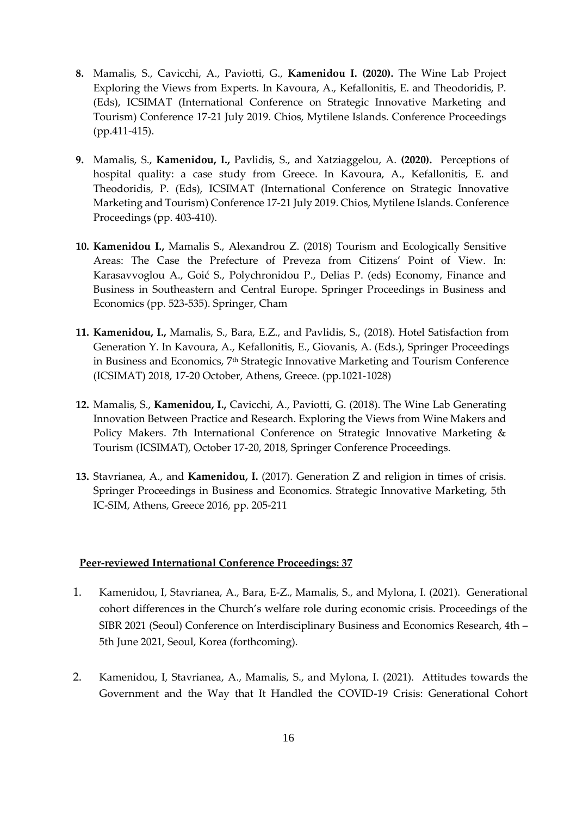- **8.** Mamalis, S., Cavicchi, A., Paviotti, G., **Kamenidou I. (2020).** The Wine Lab Project Exploring the Views from Experts. In Kavoura, A., Kefallonitis, E. and Theodoridis, P. (Eds), ICSIMAT (International Conference on Strategic Innovative Marketing and Tourism) Conference 17-21 July 2019. Chios, Mytilene Islands. Conference Proceedings (pp.411-415).
- **9.** Mamalis, S., **Kamenidou, I.,** Pavlidis, S., and Xatziaggelou, A. **(2020).** Perceptions of hospital quality: a case study from Greece. In Kavoura, A., Kefallonitis, E. and Theodoridis, P. (Eds), ICSIMAT (International Conference on Strategic Innovative Marketing and Tourism) Conference 17-21 July 2019. Chios, Mytilene Islands. Conference Proceedings (pp. 403-410).
- **10. Kamenidou I.,** Mamalis S., Alexandrou Z. (2018) Tourism and Ecologically Sensitive Areas: The Case the Prefecture of Preveza from Citizens' Point of View. In: Karasavvoglou A., Goić S., Polychronidou P., Delias P. (eds) Economy, Finance and Business in Southeastern and Central Europe. Springer Proceedings in Business and Economics (pp. 523-535). Springer, Cham
- **11. Kamenidou, I.,** Mamalis, S., Bara, E.Z., and Pavlidis, S., (2018). Hotel Satisfaction from Generation Y. In Kavoura, A., Kefallonitis, E., Giovanis, A. (Eds.), Springer Proceedings in Business and Economics, 7th Strategic Innovative Marketing and Tourism Conference (ICSIMAT) 2018, 17-20 October, Athens, Greece. (pp.1021-1028)
- **12.** Mamalis, S., **Kamenidou, I.,** Cavicchi, A., Paviotti, G. (2018). The Wine Lab Generating Innovation Between Practice and Research. Exploring the Views from Wine Makers and Policy Makers. 7th International Conference on Strategic Innovative Marketing & Tourism (ICSIMAT), October 17-20, 2018, Springer Conference Proceedings.
- **13.** Stavrianea, A., and **Kamenidou, I.** (2017). Generation Z and religion in times of crisis. Springer Proceedings in Business and Economics. Strategic Innovative Marketing, 5th IC-SIM, Athens, Greece 2016, pp. 205-211

#### **Peer-reviewed International Conference Proceedings: 37**

- 1. Kamenidou, I, Stavrianea, A., Bara, E-Z., Mamalis, S., and Mylona, I. (2021). Generational cohort differences in the Church's welfare role during economic crisis. Proceedings of the SIBR 2021 (Seoul) Conference on Interdisciplinary Business and Economics Research, 4th – 5th June 2021, Seoul, Korea (forthcoming).
- 2. Kamenidou, I, Stavrianea, A., Mamalis, S., and Mylona, I. (2021). Attitudes towards the Government and the Way that It Handled the COVID-19 Crisis: Generational Cohort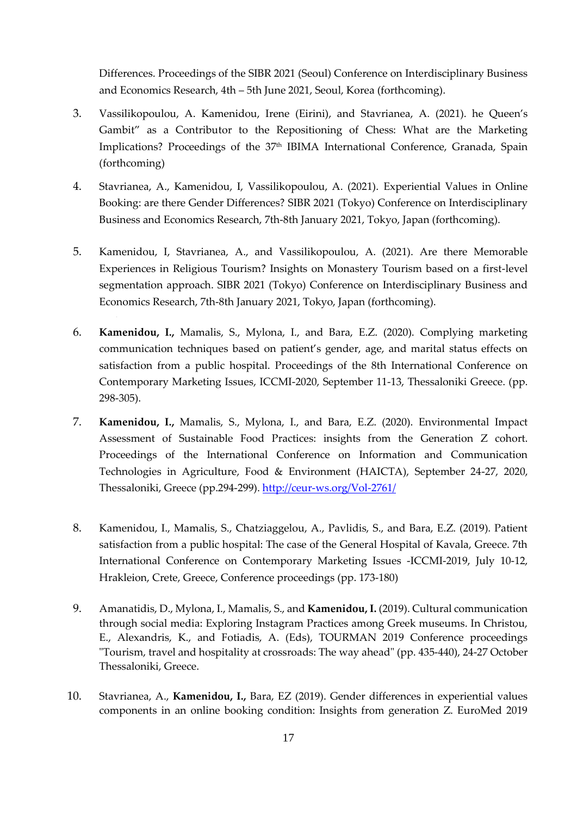Differences. Proceedings of the SIBR 2021 (Seoul) Conference on Interdisciplinary Business and Economics Research, 4th – 5th June 2021, Seoul, Korea (forthcoming).

- 3. Vassilikopoulou, A. Kamenidou, Irene (Eirini), and Stavrianea, A. (2021). he Queen's Gambit" as a Contributor to the Repositioning of Chess: What are the Marketing Implications? Proceedings of the 37<sup>th</sup> IBIMA International Conference, Granada, Spain (forthcoming)
- 4. Stavrianea, A., Kamenidou, I, Vassilikopoulou, A. (2021). Experiential Values in Online Booking: are there Gender Differences? SIBR 2021 (Tokyo) Conference on Interdisciplinary Business and Economics Research, 7th-8th January 2021, Tokyo, Japan (forthcoming).
- 5. Kamenidou, I, Stavrianea, A., and Vassilikopoulou, A. (2021). Are there Memorable Experiences in Religious Tourism? Insights on Monastery Tourism based on a first-level segmentation approach. SIBR 2021 (Tokyo) Conference on Interdisciplinary Business and Economics Research, 7th-8th January 2021, Tokyo, Japan (forthcoming).
- 6. **Kamenidou, I.,** Mamalis, S., Mylona, I., and Bara, E.Z. (2020). Complying marketing communication techniques based on patient's gender, age, and marital status effects on satisfaction from a public hospital. Proceedings of the 8th International Conference on Contemporary Marketing Issues, ICCMI-2020, September 11-13, Thessaloniki Greece. (pp. 298-305).
- 7. **Kamenidou, I.,** Mamalis, S., Mylona, I., and Bara, E.Z. (2020). Environmental Impact Assessment of Sustainable Food Practices: insights from the Generation Z cohort. Proceedings of the International Conference on Information and Communication Technologies in Agriculture, Food & Environment (HAICTA), September 24-27, 2020, Thessaloniki, Greece (pp.294-299).<http://ceur-ws.org/Vol-2761/>
- 8. Kamenidou, I., Mamalis, S., Chatziaggelou, A., Pavlidis, S., and Bara, E.Z. (2019). Patient satisfaction from a public hospital: The case of the General Hospital of Kavala, Greece. 7th International Conference on Contemporary Marketing Issues -ICCMI-2019, July 10-12, Hrakleion, Crete, Greece, Conference proceedings (pp. 173-180)
- 9. Amanatidis, D., Mylona, I., Mamalis, S., and **Kamenidou, I.** (2019). Cultural communication through social media: Exploring Instagram Practices among Greek museums. In Christou, E., Alexandris, K., and Fotiadis, A. (Eds), TOURMAN 2019 Conference proceedings "Tourism, travel and hospitality at crossroads: The way ahead" (pp. 435-440), 24-27 October Thessaloniki, Greece.
- 10. Stavrianea, A., **Kamenidou, I.,** Bara, EZ (2019). Gender differences in experiential values components in an online booking condition: Insights from generation Z. EuroMed 2019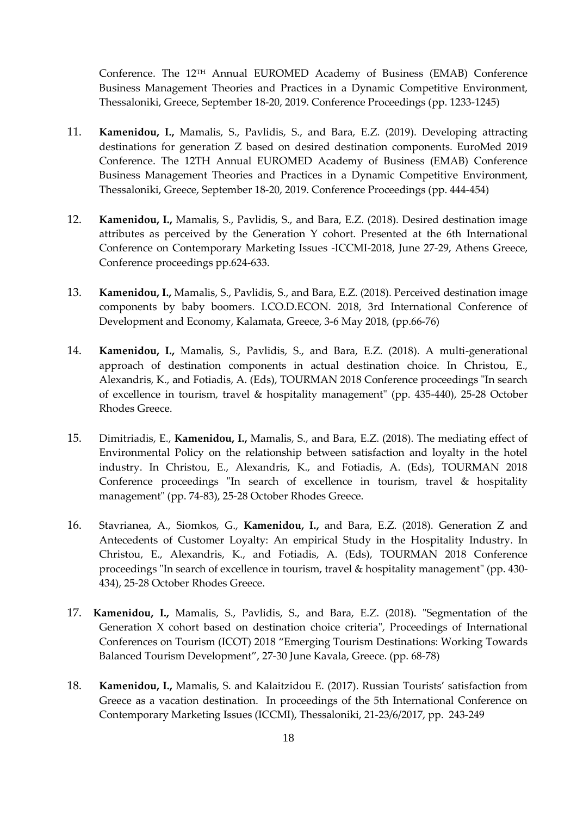Conference. The 12TH Annual EUROMED Academy of Business (ΕΜΑΒ) Conference Business Management Theories and Practices in a Dynamic Competitive Environment, Thessaloniki, Greece, September 18-20, 2019. Conference Proceedings (pp. 1233-1245)

- 11. **Kamenidou, I.,** Mamalis, S., Pavlidis, S., and Bara, E.Z. (2019). Developing attracting destinations for generation Z based on desired destination components. EuroMed 2019 Conference. The 12TH Annual EUROMED Academy of Business (ΕΜΑΒ) Conference Business Management Theories and Practices in a Dynamic Competitive Environment, Thessaloniki, Greece, September 18-20, 2019. Conference Proceedings (pp. 444-454)
- 12. **Kamenidou, I.,** Mamalis, S., Pavlidis, S., and Bara, E.Z. (2018). Desired destination image attributes as perceived by the Generation Y cohort. Presented at the 6th International Conference on Contemporary Marketing Issues -ICCMI-2018, June 27-29, Athens Greece, Conference proceedings pp.624-633.
- 13. **Kamenidou, I.,** Mamalis, S., Pavlidis, S., and Bara, E.Z. (2018). Perceived destination image components by baby boomers. I.CO.D.ECON. 2018, 3rd International Conference of Development and Economy, Kalamata, Greece, 3-6 May 2018, (pp.66-76)
- 14. **Kamenidou, I.,** Mamalis, S., Pavlidis, S., and Bara, E.Z. (2018). A multi-generational approach of destination components in actual destination choice. In Christou, E., Alexandris, K., and Fotiadis, A. (Eds), TOURMAN 2018 Conference proceedings "In search of excellence in tourism, travel & hospitality management" (pp. 435-440), 25-28 October Rhodes Greece.
- 15. Dimitriadis, E., **Kamenidou, I.,** Mamalis, S., and Bara, E.Z. (2018). The mediating effect of Environmental Policy on the relationship between satisfaction and loyalty in the hotel industry. In Christou, E., Alexandris, K., and Fotiadis, A. (Eds), TOURMAN 2018 Conference proceedings "In search of excellence in tourism, travel & hospitality management" (pp. 74-83), 25-28 October Rhodes Greece.
- 16. Stavrianea, A., Siomkos, G., **Kamenidou, I.,** and Bara, E.Z. (2018). Generation Z and Antecedents of Customer Loyalty: An empirical Study in the Hospitality Industry. In Christou, E., Alexandris, K., and Fotiadis, A. (Eds), TOURMAN 2018 Conference proceedings "In search of excellence in tourism, travel & hospitality management" (pp. 430- 434), 25-28 October Rhodes Greece.
- 17. **Kamenidou, I.,** Mamalis, S., Pavlidis, S., and Bara, E.Z. (2018). "Segmentation of the Generation X cohort based on destination choice criteria", Proceedings of International Conferences on Tourism (ICOT) 2018 "Emerging Tourism Destinations: Working Towards Balanced Tourism Development", 27-30 June Kavala, Greece. (pp. 68-78)
- 18. **Kamenidou, I.,** Mamalis, S. and Kalaitzidou E. (2017). Russian Tourists' satisfaction from Greece as a vacation destination. In proceedings of the 5th International Conference on Contemporary Marketing Issues (ICCMI), Thessaloniki, 21-23/6/2017, pp. 243-249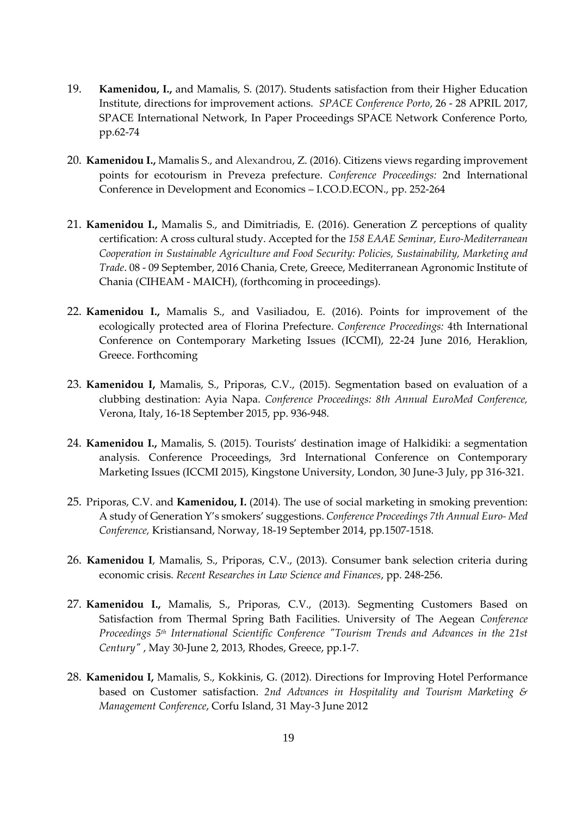- 19. **Kamenidou, I.,** and Mamalis, S. (2017). Students satisfaction from their Higher Education Institute, directions for improvement actions. *SPACE Conference Porto*, 26 - 28 APRIL 2017, SPACE International Network, In Paper Proceedings SPACE Network Conference Porto, pp.62-74
- 20. **Kamenidou I.,** Mamalis S., and Alexandrou, Z. (2016). Citizens views regarding improvement points for ecotourism in Preveza prefecture. *Conference Proceedings:* 2nd International Conference in Development and Economics – I.CO.D.ECON., pp. 252-264
- 21. **Kamenidou I.,** Mamalis S., and Dimitriadis, E. (2016). Generation Z perceptions of quality certification: A cross cultural study. Accepted for the *158 EAAE Seminar, Euro-Mediterranean Cooperation in Sustainable Agriculture and Food Security: Policies, Sustainability, Marketing and Trade*. 08 - 09 September, 2016 Chania, Crete, Greece, Mediterranean Agronomic Institute of Chania (CIHEAM - MAICH), (forthcoming in proceedings).
- 22. **Kamenidou I.,** Mamalis S., and Vasiliadou, E. (2016). Points for improvement of the ecologically protected area of Florina Prefecture. *Conference Proceedings:* 4th International Conference on Contemporary Marketing Issues (ICCMI), 22-24 June 2016, Heraklion, Greece. Forthcoming
- 23. **Kamenidou I,** Mamalis, S., Priporas, C.V., (2015). Segmentation based on evaluation of a clubbing destination: Ayia Napa. *Conference Proceedings: 8th Annual EuroMed Conference,* Verona, Italy, 16-18 September 2015, pp. 936-948.
- 24. **Kamenidou I.,** Mamalis, S. (2015). Tourists' destination image of Halkidiki: a segmentation analysis. Conference Proceedings, 3rd International Conference on Contemporary Marketing Issues (ICCMI 2015), Kingstone University, London, 30 June-3 July, pp 316-321.
- 25. Priporas, C.V. and **Kamenidou, I.** (2014). The use of social marketing in smoking prevention: A study of Generation Y's smokers' suggestions. *Conference Proceedings 7th Annual Euro- Med Conference,* Kristiansand, Norway, 18-19 September 2014, pp.1507-1518.
- 26. **Kamenidou I**, Mamalis, S., Priporas, C.V., (2013). Consumer bank selection criteria during economic crisis*. Recent Researches in Law Science and Finances*, pp. 248-256.
- 27. **Kamenidou I.,** Mamalis, S., Priporas, C.V., (2013). Segmenting Customers Based on Satisfaction from Thermal Spring Bath Facilities. University of The Aegean *Conference Proceedings 5th International Scientific Conference "Tourism Trends and Advances in the 21st Century"* , May 30-June 2, 2013, Rhodes, Greece, pp.1-7.
- 28. **Kamenidou I,** Mamalis, S., Kokkinis, G. (2012). Directions for Improving Hotel Performance based on Customer satisfaction. *2nd Advances in Hospitality and Tourism Marketing & Management Conference*, Corfu Island, 31 May-3 June 2012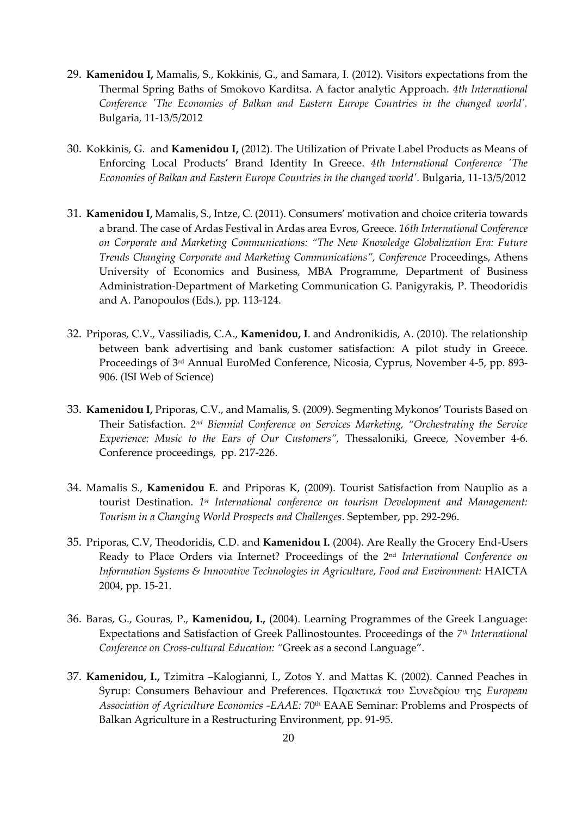- 29. **Kamenidou I,** Mamalis, S., Kokkinis, G., and Samara, I. (2012). Visitors expectations from the Thermal Spring Baths of Smokovo Karditsa. A factor analytic Approach. *4th International Conference 'The Economies of Balkan and Eastern Europe Countries in the changed world'.* Bulgaria, 11-13/5/2012
- 30. Kokkinis, G. and **Kamenidou I,** (2012). The Utilization of Private Label Products as Means of Enforcing Local Products' Brand Identity In Greece. *4th International Conference 'The Economies of Balkan and Eastern Europe Countries in the changed world'.* Bulgaria, 11-13/5/2012
- 31. **Kamenidou I,** Mamalis, S., Intze, C. (2011). Consumers' motivation and choice criteria towards a brand. The case of Ardas Festival in Ardas area Evros, Greece. *16th International Conference on Corporate and Marketing Communications: "The New Knowledge Globalization Era: Future Trends Changing Corporate and Marketing Communications", Conference* Proceedings, Athens University of Economics and Business, MBA Programme, Department of Business Administration‐Department of Marketing Communication G. Panigyrakis, P. Theodoridis and A. Panopoulos (Eds.), pp. 113-124.
- 32. Priporas, C.V., Vassiliadis, C.A., **Kamenidou, I**. and Andronikidis, A. (2010). The relationship between bank advertising and bank customer satisfaction: A pilot study in Greece. Proceedings of 3rd Annual EuroMed Conference, Nicosia, Cyprus, November 4-5, pp. 893- 906. (ISI Web of Science)
- 33. **Kamenidou I,** Priporas, C.V., and Mamalis, S. (2009). Segmenting Mykonos' Tourists Based on Their Satisfaction. 2<sup>nd</sup> Biennial Conference on Services Marketing, "Orchestrating the Service *Experience: Music to the Ears of Our Customers",* Thessaloniki, Greece, November 4-6. Conference proceedings, pp. 217-226.
- 34. Mamalis S., **Kamenidou E**. and Priporas K, (2009). Tourist Satisfaction from Nauplio as a tourist Destination. 1<sup>st</sup> International conference on tourism Development and Management: *Tourism in a Changing World Prospects and Challenges*. September, pp. 292-296.
- 35. Priporas, C.V, Theodoridis, C.D. and **Kamenidou I.** (2004). Are Really the Grocery End-Users Ready to Place Orders via Internet? Proceedings of the 2nd *International Conference on Information Systems & Innovative Technologies in Agriculture, Food and Environment:* HAICTA 2004, pp. 15-21.
- 36. Baras, G., Gouras, P., **Kamenidou, I.,** (2004). Learning Programmes of the Greek Language: Expectations and Satisfaction of Greek Pallinostountes. Proceedings of the *7 th International Conference on Cross-cultural Education: "*Greek as a second Language".
- 37. **Kamenidou, I.,** Tzimitra –Kalogianni, I., Zotos Y. and Mattas K. (2002). Canned Peaches in Syrup: Consumers Behaviour and Preferences. Πρακτικά του Συνεδρίου της *European Association of Agriculture Economics -EAAE:* 70th EAAE Seminar: Problems and Prospects of Balkan Agriculture in a Restructuring Environment, pp. 91-95.